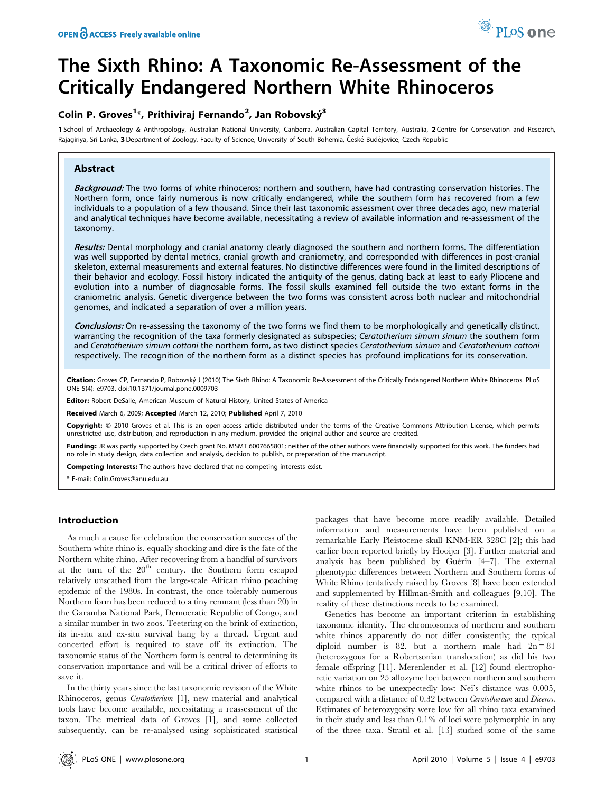# The Sixth Rhino: A Taxonomic Re-Assessment of the Critically Endangered Northern White Rhinoceros

# Colin P. Groves<sup>1</sup>\*, Prithiviraj Fernando<sup>2</sup>, Jan Robovský<sup>3</sup>

1 School of Archaeology & Anthropology, Australian National University, Canberra, Australian Capital Territory, Australia, 2 Centre for Conservation and Research, Rajagiriya, Sri Lanka, 3 Department of Zoology, Faculty of Science, University of South Bohemia, České Budějovice, Czech Republic

# Abstract

Background: The two forms of white rhinoceros: northern and southern, have had contrasting conservation histories. The Northern form, once fairly numerous is now critically endangered, while the southern form has recovered from a few individuals to a population of a few thousand. Since their last taxonomic assessment over three decades ago, new material and analytical techniques have become available, necessitating a review of available information and re-assessment of the taxonomy.

Results: Dental morphology and cranial anatomy clearly diagnosed the southern and northern forms. The differentiation was well supported by dental metrics, cranial growth and craniometry, and corresponded with differences in post-cranial skeleton, external measurements and external features. No distinctive differences were found in the limited descriptions of their behavior and ecology. Fossil history indicated the antiquity of the genus, dating back at least to early Pliocene and evolution into a number of diagnosable forms. The fossil skulls examined fell outside the two extant forms in the craniometric analysis. Genetic divergence between the two forms was consistent across both nuclear and mitochondrial genomes, and indicated a separation of over a million years.

Conclusions: On re-assessing the taxonomy of the two forms we find them to be morphologically and genetically distinct, warranting the recognition of the taxa formerly designated as subspecies; Ceratotherium simum simum the southern form and Ceratotherium simum cottoni the northern form, as two distinct species Ceratotherium simum and Ceratotherium cottoni respectively. The recognition of the northern form as a distinct species has profound implications for its conservation.

Citation: Groves CP, Fernando P, Robovský J (2010) The Sixth Rhino: A Taxonomic Re-Assessment of the Critically Endangered Northern White Rhinoceros. PLoS ONE 5(4): e9703. doi:10.1371/journal.pone.0009703

Editor: Robert DeSalle, American Museum of Natural History, United States of America

Received March 6, 2009; Accepted March 12, 2010; Published April 7, 2010

Copyright: © 2010 Groves et al. This is an open-access article distributed under the terms of the Creative Commons Attribution License, which permits unrestricted use, distribution, and reproduction in any medium, provided the original author and source are credited.

Funding: JR was partly supported by Czech grant No. MSMT 6007665801; neither of the other authors were financially supported for this work. The funders had no role in study design, data collection and analysis, decision to publish, or preparation of the manuscript.

Competing Interests: The authors have declared that no competing interests exist.

\* E-mail: Colin.Groves@anu.edu.au

## Introduction

As much a cause for celebration the conservation success of the Southern white rhino is, equally shocking and dire is the fate of the Northern white rhino. After recovering from a handful of survivors at the turn of the  $20<sup>th</sup>$  century, the Southern form escaped relatively unscathed from the large-scale African rhino poaching epidemic of the 1980s. In contrast, the once tolerably numerous Northern form has been reduced to a tiny remnant (less than 20) in the Garamba National Park, Democratic Republic of Congo, and a similar number in two zoos. Teetering on the brink of extinction, its in-situ and ex-situ survival hang by a thread. Urgent and concerted effort is required to stave off its extinction. The taxonomic status of the Northern form is central to determining its conservation importance and will be a critical driver of efforts to save it.

In the thirty years since the last taxonomic revision of the White Rhinoceros, genus Ceratotherium [1], new material and analytical tools have become available, necessitating a reassessment of the taxon. The metrical data of Groves [1], and some collected subsequently, can be re-analysed using sophisticated statistical

packages that have become more readily available. Detailed information and measurements have been published on a remarkable Early Pleistocene skull KNM-ER 328C [2]; this had earlier been reported briefly by Hooijer [3]. Further material and analysis has been published by Guérin  $[4–7]$ . The external phenotypic differences between Northern and Southern forms of White Rhino tentatively raised by Groves [8] have been extended and supplemented by Hillman-Smith and colleagues [9,10]. The reality of these distinctions needs to be examined.

Genetics has become an important criterion in establishing taxonomic identity. The chromosomes of northern and southern white rhinos apparently do not differ consistently; the typical diploid number is 82, but a northern male had  $2n = 81$ (heterozygous for a Robertsonian translocation) as did his two female offspring [11]. Merenlender et al. [12] found electrophoretic variation on 25 allozyme loci between northern and southern white rhinos to be unexpectedly low: Nei's distance was 0.005, compared with a distance of 0.32 between Ceratotherium and Diceros. Estimates of heterozygosity were low for all rhino taxa examined in their study and less than 0.1% of loci were polymorphic in any of the three taxa. Stratil et al. [13] studied some of the same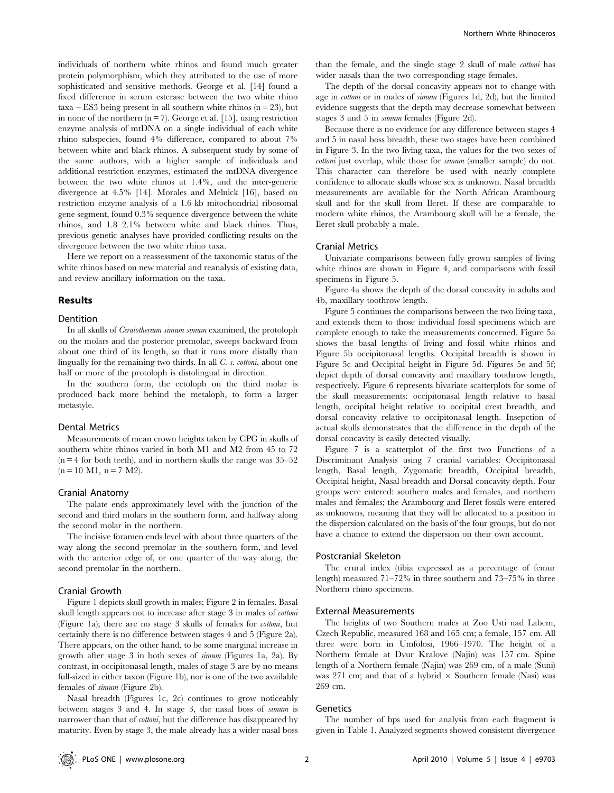individuals of northern white rhinos and found much greater protein polymorphism, which they attributed to the use of more sophisticated and sensitive methods. George et al. [14] found a fixed difference in serum esterase between the two white rhino  $taxa - ES3 being present in all southern white rhinos (n = 23), but$ in none of the northern  $(n = 7)$ . George et al. [15], using restriction enzyme analysis of mtDNA on a single individual of each white rhino subspecies, found 4% difference, compared to about 7% between white and black rhinos. A subsequent study by some of the same authors, with a higher sample of individuals and additional restriction enzymes, estimated the mtDNA divergence between the two white rhinos at 1.4%, and the inter-generic divergence at 4.5% [14]. Morales and Melnick [16], based on restriction enzyme analysis of a 1.6 kb mitochondrial ribosomal gene segment, found 0.3% sequence divergence between the white rhinos, and 1.8–2.1% between white and black rhinos. Thus, previous genetic analyses have provided conflicting results on the divergence between the two white rhino taxa.

Here we report on a reassessment of the taxonomic status of the white rhinos based on new material and reanalysis of existing data, and review ancillary information on the taxa.

#### Results

#### Dentition

In all skulls of Ceratotherium simum simum examined, the protoloph on the molars and the posterior premolar, sweeps backward from about one third of its length, so that it runs more distally than lingually for the remaining two thirds. In all C. s. cottoni, about one half or more of the protoloph is distolingual in direction.

In the southern form, the ectoloph on the third molar is produced back more behind the metaloph, to form a larger metastyle.

#### Dental Metrics

Measurements of mean crown heights taken by CPG in skulls of southern white rhinos varied in both M1 and M2 from 45 to 72  $(n = 4$  for both teeth), and in northern skulls the range was  $35-52$  $(n = 10 M1, n = 7 M2).$ 

#### Cranial Anatomy

The palate ends approximately level with the junction of the second and third molars in the southern form, and halfway along the second molar in the northern.

The incisive foramen ends level with about three quarters of the way along the second premolar in the southern form, and level with the anterior edge of, or one quarter of the way along, the second premolar in the northern.

#### Cranial Growth

Figure 1 depicts skull growth in males; Figure 2 in females. Basal skull length appears not to increase after stage 3 in males of cottoni (Figure 1a); there are no stage 3 skulls of females for cottoni, but certainly there is no difference between stages 4 and 5 (Figure 2a). There appears, on the other hand, to be some marginal increase in growth after stage 3 in both sexes of simum (Figures 1a, 2a). By contrast, in occipitonasal length, males of stage 3 are by no means full-sized in either taxon (Figure 1b), nor is one of the two available females of simum (Figure 2b).

Nasal breadth (Figures 1c, 2c) continues to grow noticeably between stages 3 and 4. In stage 3, the nasal boss of simum is narrower than that of *cottoni*, but the difference has disappeared by maturity. Even by stage 3, the male already has a wider nasal boss

than the female, and the single stage 2 skull of male cottoni has wider nasals than the two corresponding stage females.

The depth of the dorsal concavity appears not to change with age in cottoni or in males of simum (Figures 1d, 2d), but the limited evidence suggests that the depth may decrease somewhat between stages 3 and 5 in simum females (Figure 2d).

Because there is no evidence for any difference between stages 4 and 5 in nasal boss breadth, these two stages have been combined in Figure 3. In the two living taxa, the values for the two sexes of cottoni just overlap, while those for simum (smaller sample) do not. This character can therefore be used with nearly complete confidence to allocate skulls whose sex is unknown. Nasal breadth measurements are available for the North African Arambourg skull and for the skull from Ileret. If these are comparable to modern white rhinos, the Arambourg skull will be a female, the Ileret skull probably a male.

#### Cranial Metrics

Univariate comparisons between fully grown samples of living white rhinos are shown in Figure 4, and comparisons with fossil specimens in Figure 5.

Figure 4a shows the depth of the dorsal concavity in adults and 4b, maxillary toothrow length.

Figure 5 continues the comparisons between the two living taxa, and extends them to those individual fossil specimens which are complete enough to take the measurements concerned. Figure 5a shows the basal lengths of living and fossil white rhinos and Figure 5b occipitonasal lengths. Occipital breadth is shown in Figure 5c and Occipital height in Figure 5d. Figures 5e and 5f; depict depth of dorsal concavity and maxillary toothrow length, respectively. Figure 6 represents bivariate scatterplots for some of the skull measurements: occipitonasal length relative to basal length, occipital height relative to occipital crest breadth, and dorsal concavity relative to occipitonasal length. Insepction of actual skulls demonstrates that the difference in the depth of the dorsal concavity is easily detected visually.

Figure 7 is a scatterplot of the first two Functions of a Discriminant Analysis using 7 cranial variables: Occipitonasal length, Basal length, Zygomatic breadth, Occipital breadth, Occipital height, Nasal breadth and Dorsal concavity depth. Four groups were entered: southern males and females, and northern males and females; the Arambourg and Ileret fossils were entered as unknowns, meaning that they will be allocated to a position in the dispersion calculated on the basis of the four groups, but do not have a chance to extend the dispersion on their own account.

#### Postcranial Skeleton

The crural index (tibia expressed as a percentage of femur length) measured 71–72% in three southern and 73–75% in three Northern rhino specimens.

#### External Measurements

The heights of two Southern males at Zoo Usti nad Labem, Czech Republic, measured 168 and 165 cm; a female, 157 cm. All three were born in Umfolosi, 1966–1970. The height of a Northern female at Dvur Kralove (Najin) was 157 cm. Spine length of a Northern female (Najin) was 269 cm, of a male (Suni) was 271 cm; and that of a hybrid  $\times$  Southern female (Nasi) was 269 cm.

#### Genetics

The number of bps used for analysis from each fragment is given in Table 1. Analyzed segments showed consistent divergence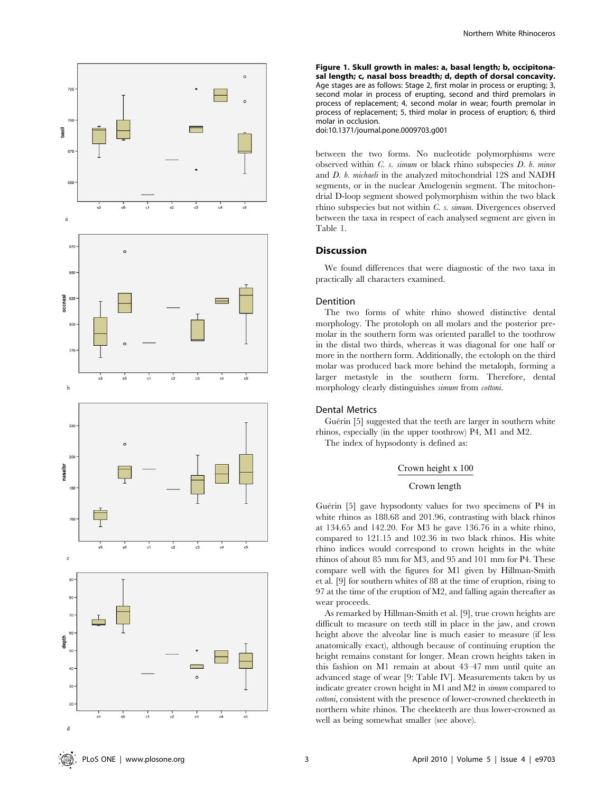

Figure 1. Skull growth in males: a, basal length; b, occipitonasal length; c, nasal boss breadth; d, depth of dorsal concavity. Age stages are as follows: Stage 2, first molar in process or erupting; 3, second molar in process of erupting, second and third premolars in process of replacement; 4, second molar in wear; fourth premolar in process of replacement; 5, third molar in process of eruption; 6, third molar in occlusion.

doi:10.1371/journal.pone.0009703.g001

between the two forms. No nucleotide polymorphisms were observed within C. s. simum or black rhino subspecies D. b. minor and D. b. michaeli in the analyzed mitochondrial 12S and NADH segments, or in the nuclear Amelogenin segment. The mitochondrial D-loop segment showed polymorphism within the two black rhino subspecies but not within C. s. simum. Divergences observed between the taxa in respect of each analysed segment are given in Table 1.

#### Discussion

We found differences that were diagnostic of the two taxa in practically all characters examined.

#### Dentition

The two forms of white rhino showed distinctive dental morphology. The protoloph on all molars and the posterior premolar in the southern form was oriented parallel to the toothrow in the distal two thirds, whereas it was diagonal for one half or more in the northern form. Additionally, the ectoloph on the third molar was produced back more behind the metaloph, forming a larger metastyle in the southern form. Therefore, dental morphology clearly distinguishes simum from cottoni.

#### Dental Metrics

Guérin [5] suggested that the teeth are larger in southern white rhinos, especially (in the upper toothrow) P4, M1 and M2.

The index of hypsodonty is defined as:

#### Crown height x 100

#### Crown length

Guérin [5] gave hypsodonty values for two specimens of P4 in white rhinos as 188.68 and 201.96, contrasting with black rhinos at 134.65 and 142.20. For M3 he gave 136.76 in a white rhino, compared to 121.15 and 102.36 in two black rhinos. His white rhino indices would correspond to crown heights in the white rhinos of about 85 mm for M3, and 95 and 101 mm for P4. These compare well with the figures for M1 given by Hillman-Smith et al. [9] for southern whites of 88 at the time of eruption, rising to 97 at the time of the eruption of M2, and falling again thereafter as wear proceeds.

As remarked by Hillman-Smith et al. [9], true crown heights are difficult to measure on teeth still in place in the jaw, and crown height above the alveolar line is much easier to measure (if less anatomically exact), although because of continuing eruption the height remains constant for longer. Mean crown heights taken in this fashion on M1 remain at about 43–47 mm until quite an advanced stage of wear [9: Table IV]. Measurements taken by us indicate greater crown height in M1 and M2 in simum compared to cottoni, consistent with the presence of lower-crowned cheekteeth in northern white rhinos. The cheekteeth are thus lower-crowned as well as being somewhat smaller (see above).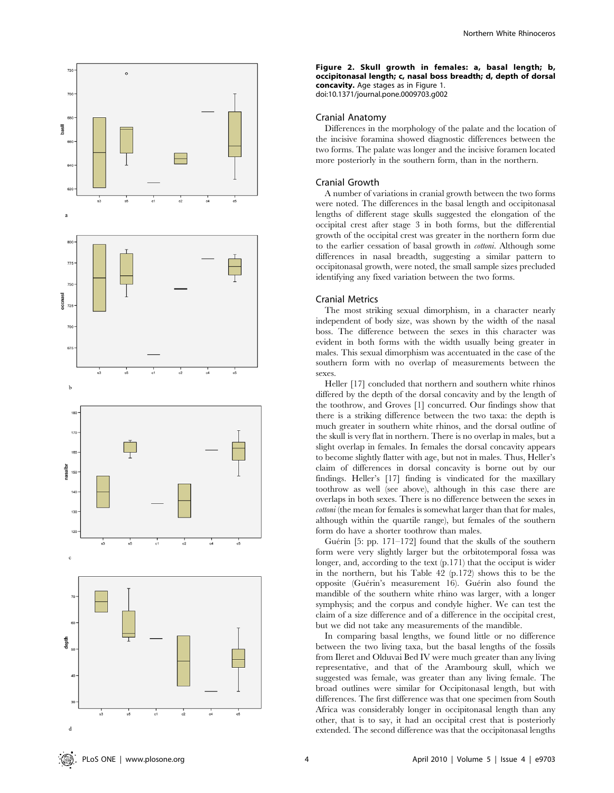

Figure 2. Skull growth in females: a, basal length; b, occipitonasal length; c, nasal boss breadth; d, depth of dorsal concavity. Age stages as in Figure 1. doi:10.1371/journal.pone.0009703.g002

#### Cranial Anatomy

Differences in the morphology of the palate and the location of the incisive foramina showed diagnostic differences between the two forms. The palate was longer and the incisive foramen located more posteriorly in the southern form, than in the northern.

#### Cranial Growth

A number of variations in cranial growth between the two forms were noted. The differences in the basal length and occipitonasal lengths of different stage skulls suggested the elongation of the occipital crest after stage 3 in both forms, but the differential growth of the occipital crest was greater in the northern form due to the earlier cessation of basal growth in cottoni. Although some differences in nasal breadth, suggesting a similar pattern to occipitonasal growth, were noted, the small sample sizes precluded identifying any fixed variation between the two forms.

#### Cranial Metrics

The most striking sexual dimorphism, in a character nearly independent of body size, was shown by the width of the nasal boss. The difference between the sexes in this character was evident in both forms with the width usually being greater in males. This sexual dimorphism was accentuated in the case of the southern form with no overlap of measurements between the sexes.

Heller [17] concluded that northern and southern white rhinos differed by the depth of the dorsal concavity and by the length of the toothrow, and Groves [1] concurred. Our findings show that there is a striking difference between the two taxa: the depth is much greater in southern white rhinos, and the dorsal outline of the skull is very flat in northern. There is no overlap in males, but a slight overlap in females. In females the dorsal concavity appears to become slightly flatter with age, but not in males. Thus, Heller's claim of differences in dorsal concavity is borne out by our findings. Heller's [17] finding is vindicated for the maxillary toothrow as well (see above), although in this case there are overlaps in both sexes. There is no difference between the sexes in cottoni (the mean for females is somewhat larger than that for males, although within the quartile range), but females of the southern form do have a shorter toothrow than males.

Guérin  $[5: pp. 171-172]$  found that the skulls of the southern form were very slightly larger but the orbitotemporal fossa was longer, and, according to the text (p.171) that the occiput is wider in the northern, but his Table 42 (p.172) shows this to be the opposite (Guérin's measurement 16). Guérin also found the mandible of the southern white rhino was larger, with a longer symphysis; and the corpus and condyle higher. We can test the claim of a size difference and of a difference in the occipital crest, but we did not take any measurements of the mandible.

In comparing basal lengths, we found little or no difference between the two living taxa, but the basal lengths of the fossils from Ileret and Olduvai Bed IV were much greater than any living representative, and that of the Arambourg skull, which we suggested was female, was greater than any living female. The broad outlines were similar for Occipitonasal length, but with differences. The first difference was that one specimen from South Africa was considerably longer in occipitonasal length than any other, that is to say, it had an occipital crest that is posteriorly extended. The second difference was that the occipitonasal lengths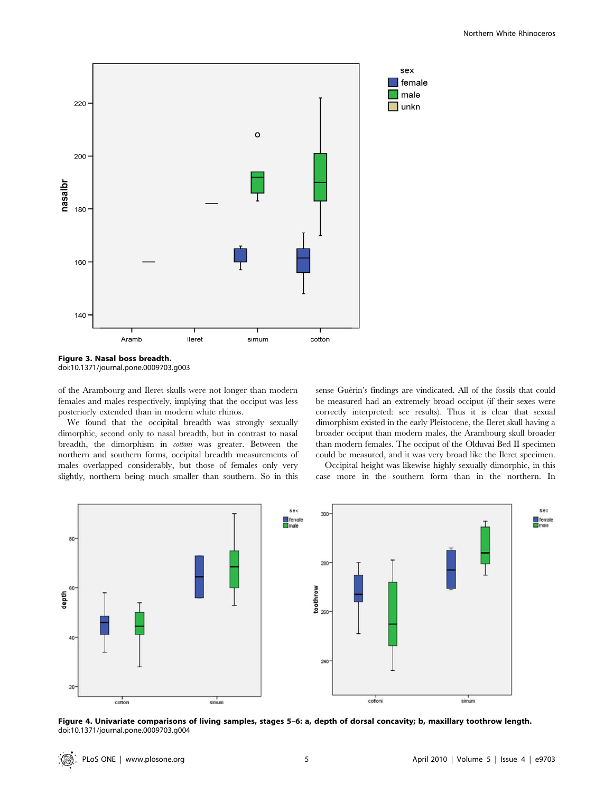



of the Arambourg and Ileret skulls were not longer than modern females and males respectively, implying that the occiput was less posteriorly extended than in modern white rhinos.

We found that the occipital breadth was strongly sexually dimorphic, second only to nasal breadth, but in contrast to nasal breadth, the dimorphism in cottoni was greater. Between the northern and southern forms, occipital breadth measurements of males overlapped considerably, but those of females only very slightly, northern being much smaller than southern. So in this sense Guérin's findings are vindicated. All of the fossils that could be measured had an extremely broad occiput (if their sexes were correctly interpreted: see results). Thus it is clear that sexual dimorphism existed in the early Pleistocene, the Ileret skull having a broader occiput than modern males, the Arambourg skull broader than modern females. The occiput of the Olduvai Bed II specimen could be measured, and it was very broad like the Ileret specimen.

Occipital height was likewise highly sexually dimorphic, in this case more in the southern form than in the northern. In



Figure 4. Univariate comparisons of living samples, stages 5–6: a, depth of dorsal concavity; b, maxillary toothrow length. doi:10.1371/journal.pone.0009703.g004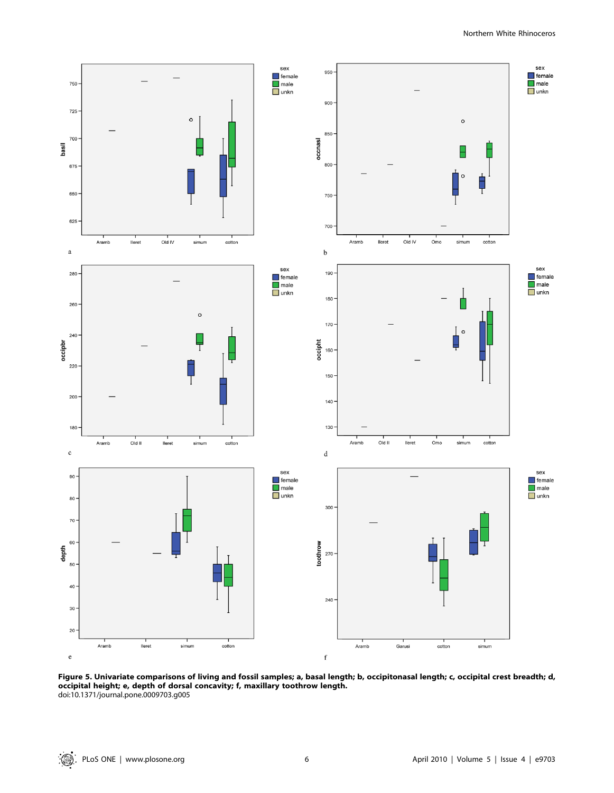

Figure 5. Univariate comparisons of living and fossil samples; a, basal length; b, occipitonasal length; c, occipital crest breadth; d, occipital height; e, depth of dorsal concavity; f, maxillary toothrow length. doi:10.1371/journal.pone.0009703.g005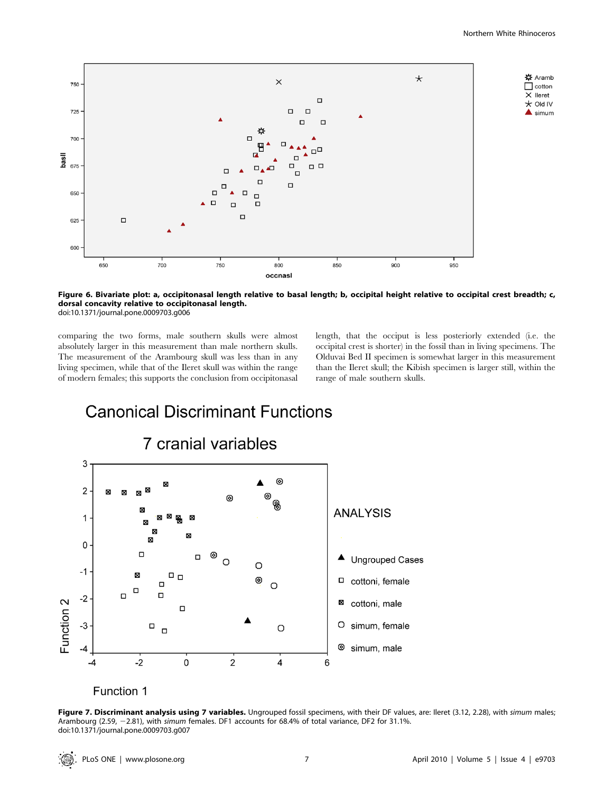

Figure 6. Bivariate plot: a, occipitonasal length relative to basal length; b, occipital height relative to occipital crest breadth; c, dorsal concavity relative to occipitonasal length. doi:10.1371/journal.pone.0009703.g006

comparing the two forms, male southern skulls were almost absolutely larger in this measurement than male northern skulls. The measurement of the Arambourg skull was less than in any living specimen, while that of the Ileret skull was within the range of modern females; this supports the conclusion from occipitonasal length, that the occiput is less posteriorly extended (i.e. the occipital crest is shorter) in the fossil than in living specimens. The Olduvai Bed II specimen is somewhat larger in this measurement than the Ileret skull; the Kibish specimen is larger still, within the range of male southern skulls.

# **Canonical Discriminant Functions**



Figure 7. Discriminant analysis using 7 variables. Ungrouped fossil specimens, with their DF values, are: Ileret (3.12, 2.28), with simum males; Arambourg (2.59, -2.81), with simum females. DF1 accounts for 68.4% of total variance, DF2 for 31.1%. doi:10.1371/journal.pone.0009703.g007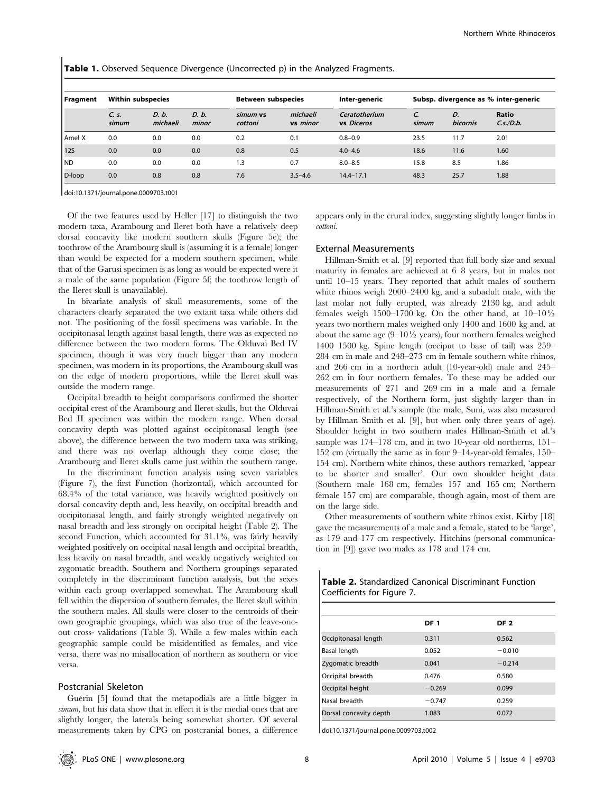Table 1. Observed Sequence Divergence (Uncorrected p) in the Analyzed Fragments.

| Fragment   | <b>Within subspecies</b> |                   |                | <b>Between subspecies</b> |                      | Subsp. divergence as % inter-generic |       |                       |                    |
|------------|--------------------------|-------------------|----------------|---------------------------|----------------------|--------------------------------------|-------|-----------------------|--------------------|
|            | C. s.<br>simum           | D. b.<br>michaeli | D. b.<br>minor | simum vs<br>cottoni       | michaeli<br>vs minor | Ceratotherium<br><b>vs</b> Diceros   | simum | D.<br><b>bicornis</b> | Ratio<br>C.s./D.b. |
| Amel X     | 0.0                      | 0.0               | 0.0            | 0.2                       | 0.1                  | $0.8 - 0.9$                          | 23.5  | 11.7                  | 2.01               |
| <b>12S</b> | 0.0                      | 0.0               | 0.0            | 0.8                       | 0.5                  | $4.0 - 4.6$                          | 18.6  | 11.6                  | 1.60               |
| l ND       | 0.0                      | 0.0               | 0.0            | 1.3                       | 0.7                  | $8.0 - 8.5$                          | 15.8  | 8.5                   | 1.86               |
| D-loop     | 0.0                      | 0.8               | 0.8            | 7.6                       | $3.5 - 4.6$          | $14.4 - 17.1$                        | 48.3  | 25.7                  | 1.88               |

doi:10.1371/journal.pone.0009703.t001

Of the two features used by Heller [17] to distinguish the two modern taxa, Arambourg and Ileret both have a relatively deep dorsal concavity like modern southern skulls (Figure 5e); the toothrow of the Arambourg skull is (assuming it is a female) longer than would be expected for a modern southern specimen, while that of the Garusi specimen is as long as would be expected were it a male of the same population (Figure 5f; the toothrow length of the Ileret skull is unavailable).

In bivariate analysis of skull measurements, some of the characters clearly separated the two extant taxa while others did not. The positioning of the fossil specimens was variable. In the occipitonasal length against basal length, there was as expected no difference between the two modern forms. The Olduvai Bed IV specimen, though it was very much bigger than any modern specimen, was modern in its proportions, the Arambourg skull was on the edge of modern proportions, while the Ileret skull was outside the modern range.

Occipital breadth to height comparisons confirmed the shorter occipital crest of the Arambourg and Ileret skulls, but the Olduvai Bed II specimen was within the modern range. When dorsal concavity depth was plotted against occipitonasal length (see above), the difference between the two modern taxa was striking, and there was no overlap although they come close; the Arambourg and Ileret skulls came just within the southern range.

In the discriminant function analysis using seven variables (Figure 7), the first Function (horizontal), which accounted for 68.4% of the total variance, was heavily weighted positively on dorsal concavity depth and, less heavily, on occipital breadth and occipitonasal length, and fairly strongly weighted negatively on nasal breadth and less strongly on occipital height (Table 2). The second Function, which accounted for 31.1%, was fairly heavily weighted positively on occipital nasal length and occipital breadth, less heavily on nasal breadth, and weakly negatively weighted on zygomatic breadth. Southern and Northern groupings separated completely in the discriminant function analysis, but the sexes within each group overlapped somewhat. The Arambourg skull fell within the dispersion of southern females, the Ileret skull within the southern males. All skulls were closer to the centroids of their own geographic groupings, which was also true of the leave-oneout cross- validations (Table 3). While a few males within each geographic sample could be misidentified as females, and vice versa, there was no misallocation of northern as southern or vice versa.

#### Postcranial Skeleton

Guérin [5] found that the metapodials are a little bigger in simum, but his data show that in effect it is the medial ones that are slightly longer, the laterals being somewhat shorter. Of several measurements taken by CPG on postcranial bones, a difference

appears only in the crural index, suggesting slightly longer limbs in cottoni.

#### External Measurements

Hillman-Smith et al. [9] reported that full body size and sexual maturity in females are achieved at 6–8 years, but in males not until 10–15 years. They reported that adult males of southern white rhinos weigh 2000–2400 kg, and a subadult male, with the last molar not fully erupted, was already 2130 kg, and adult females weigh 1500–1700 kg. On the other hand, at  $10-10\frac{1}{2}$ years two northern males weighed only 1400 and 1600 kg and, at about the same age  $(9-10\frac{1}{2}$  years), four northern females weighed 1400–1500 kg. Spine length (occiput to base of tail) was 259– 284 cm in male and 248–273 cm in female southern white rhinos, and 266 cm in a northern adult (10-year-old) male and 245– 262 cm in four northern females. To these may be added our measurements of 271 and 269 cm in a male and a female respectively, of the Northern form, just slightly larger than in Hillman-Smith et al.'s sample (the male, Suni, was also measured by Hillman Smith et al. [9], but when only three years of age). Shoulder height in two southern males Hillman-Smith et al.'s sample was 174–178 cm, and in two 10-year old northerns, 151– 152 cm (virtually the same as in four 9–14-year-old females, 150– 154 cm). Northern white rhinos, these authors remarked, 'appear to be shorter and smaller'. Our own shoulder height data (Southern male 168 cm, females 157 and 165 cm; Northern female 157 cm) are comparable, though again, most of them are on the large side.

Other measurements of southern white rhinos exist. Kirby [18] gave the measurements of a male and a female, stated to be 'large', as 179 and 177 cm respectively. Hitchins (personal communication in [9]) gave two males as 178 and 174 cm.

Table 2. Standardized Canonical Discriminant Function Coefficients for Figure 7.

|                        | DF <sub>1</sub> | DF <sub>2</sub> |
|------------------------|-----------------|-----------------|
| Occipitonasal length   | 0.311           | 0.562           |
| Basal length           | 0.052           | $-0.010$        |
| Zygomatic breadth      | 0.041           | $-0.214$        |
| Occipital breadth      | 0.476           | 0.580           |
| Occipital height       | $-0.269$        | 0.099           |
| Nasal breadth          | $-0.747$        | 0.259           |
| Dorsal concavity depth | 1.083           | 0.072           |

doi:10.1371/journal.pone.0009703.t002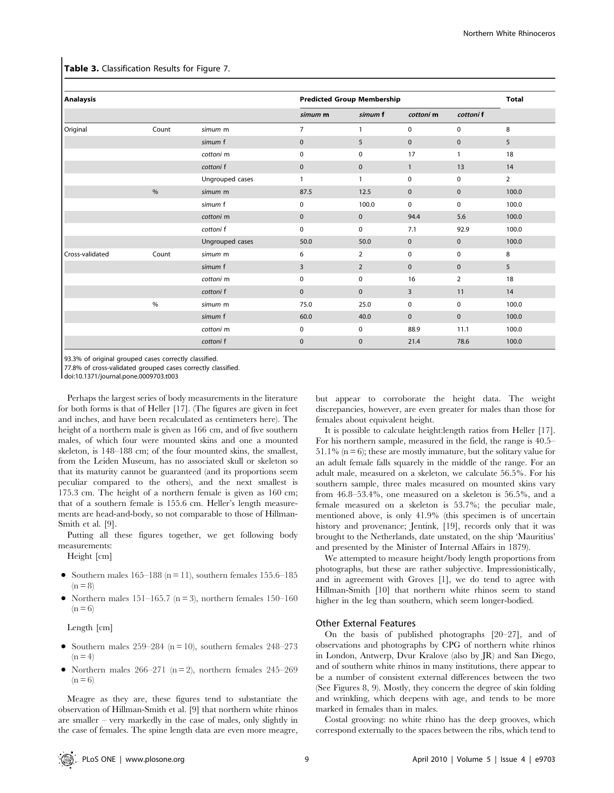#### Table 3. Classification Results for Figure 7.

| <b>Analaysis</b> |       |                 |                | <b>Predicted Group Membership</b> |              |                |                |  |
|------------------|-------|-----------------|----------------|-----------------------------------|--------------|----------------|----------------|--|
|                  |       |                 | simum m        | simum f                           | cottoni m    | cottonif       |                |  |
| Original         | Count | simum m         | $\overline{7}$ | $\mathbf{1}$                      | $\mathbf 0$  | 0              | 8              |  |
|                  |       | simum f         | $\pmb{0}$      | 5                                 | $\mathbf 0$  | $\mathbf 0$    | 5              |  |
|                  |       | cottoni m       | 0              | $\mathbf 0$                       | 17           | $\mathbf{1}$   | 18             |  |
|                  |       | cottoni f       | $\pmb{0}$      | $\mathbf 0$                       | $\mathbf{1}$ | 13             | 14             |  |
|                  |       | Ungrouped cases | 1              | $\mathbf{1}$                      | 0            | 0              | $\overline{2}$ |  |
|                  | $\%$  | simum m         | 87.5           | 12.5                              | $\mathbf 0$  | $\mathbf 0$    | 100.0          |  |
|                  |       | simum f         | 0              | 100.0                             | $\mathbf 0$  | 0              | 100.0          |  |
|                  |       | cottoni m       | $\mathbf 0$    | $\mathbf 0$                       | 94.4         | 5.6            | 100.0          |  |
|                  |       | cottoni f       | 0              | $\mathbf 0$                       | 7.1          | 92.9           | 100.0          |  |
|                  |       | Ungrouped cases | 50.0           | 50.0                              | $\mathbf 0$  | $\mathbf 0$    | 100.0          |  |
| Cross-validated  | Count | simum m         | 6              | 2                                 | 0            | 0              | 8              |  |
|                  |       | simum f         | 3              | $\overline{2}$                    | $\mathbf{0}$ | $\mathbf 0$    | 5              |  |
|                  |       | cottoni m       | $\mathbf 0$    | $\mathbf 0$                       | 16           | $\overline{2}$ | 18             |  |
|                  |       | cottoni f       | $\mathbf 0$    | $\mathbf{0}$                      | 3            | 11             | 14             |  |
|                  | $\%$  | simum m         | 75.0           | 25.0                              | $\pmb{0}$    | 0              | 100.0          |  |
|                  |       | simum f         | 60.0           | 40.0                              | $\mathbf{0}$ | $\mathbf 0$    | 100.0          |  |
|                  |       | cottoni m       | 0              | 0                                 | 88.9         | 11.1           | 100.0          |  |
|                  |       | cottoni f       | $\mathbf 0$    | $\mathbf 0$                       | 21.4         | 78.6           | 100.0          |  |

93.3% of original grouped cases correctly classified.

doi:10.1371/journal.pone.0009703.t003

Perhaps the largest series of body measurements in the literature for both forms is that of Heller [17]. (The figures are given in feet and inches, and have been recalculated as centimeters here). The height of a northern male is given as 166 cm, and of five southern males, of which four were mounted skins and one a mounted skeleton, is 148–188 cm; of the four mounted skins, the smallest, from the Leiden Museum, has no associated skull or skeleton so that its maturity cannot be guaranteed (and its proportions seem peculiar compared to the others), and the next smallest is 175.3 cm. The height of a northern female is given as 160 cm; that of a southern female is 155.6 cm. Heller's length measurements are head-and-body, so not comparable to those of Hillman-Smith et al. [9].

Putting all these figures together, we get following body measurements:

Height [cm]

- Southern males  $165-188$  (n = 11), southern females 155.6–185  $(n = 8)$
- Northern males 151–165.7 ( $n = 3$ ), northern females 150–160  $(n = 6)$

#### Length [cm]

- Southern males  $259-284$  (n = 10), southern females  $248-273$  $(n = 4)$
- Northern males  $266-271$  (n = 2), northern females  $245-269$  $(n=6)$

Meagre as they are, these figures tend to substantiate the observation of Hillman-Smith et al. [9] that northern white rhinos are smaller – very markedly in the case of males, only slightly in the case of females. The spine length data are even more meagre,

but appear to corroborate the height data. The weight discrepancies, however, are even greater for males than those for females about equivalent height.

It is possible to calculate height:length ratios from Heller [17]. For his northern sample, measured in the field, the range is 40.5– 51.1% ( $n = 6$ ); these are mostly immature, but the solitary value for an adult female falls squarely in the middle of the range. For an adult male, measured on a skeleton, we calculate 56.5%. For his southern sample, three males measured on mounted skins vary from 46.8–53.4%, one measured on a skeleton is 56.5%, and a female measured on a skeleton is 53.7%; the peculiar male, mentioned above, is only 41.9% (this specimen is of uncertain history and provenance; Jentink, [19], records only that it was brought to the Netherlands, date unstated, on the ship 'Mauritius' and presented by the Minister of Internal Affairs in 1879).

We attempted to measure height/body length proportions from photographs, but these are rather subjective. Impressionistically, and in agreement with Groves [1], we do tend to agree with Hillman-Smith [10] that northern white rhinos seem to stand higher in the leg than southern, which seem longer-bodied.

#### Other External Features

On the basis of published photographs [20–27], and of observations and photographs by CPG of northern white rhinos in London, Antwerp, Dvur Kralove (also by JR) and San Diego, and of southern white rhinos in many institutions, there appear to be a number of consistent external differences between the two (See Figures 8, 9). Mostly, they concern the degree of skin folding and wrinkling, which deepens with age, and tends to be more marked in females than in males.

Costal grooving: no white rhino has the deep grooves, which correspond externally to the spaces between the ribs, which tend to

<sup>77.8%</sup> of cross-validated grouped cases correctly classified.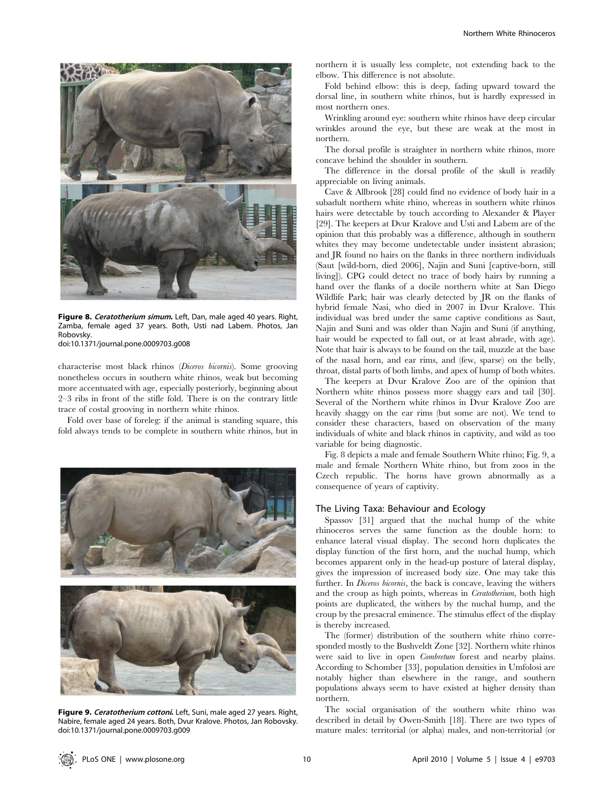

Figure 8. Ceratotherium simum. Left, Dan, male aged 40 years. Right, Zamba, female aged 37 years. Both, Usti nad Labem. Photos, Jan Robovsky. doi:10.1371/journal.pone.0009703.g008

characterise most black rhinos (Diceros bicornis). Some grooving nonetheless occurs in southern white rhinos, weak but becoming more accentuated with age, especially posteriorly, beginning about 2–3 ribs in front of the stifle fold. There is on the contrary little trace of costal grooving in northern white rhinos.

Fold over base of foreleg: if the animal is standing square, this fold always tends to be complete in southern white rhinos, but in



Figure 9. Ceratotherium cottoni. Left, Suni, male aged 27 years. Right, Nabire, female aged 24 years. Both, Dvur Kralove. Photos, Jan Robovsky. doi:10.1371/journal.pone.0009703.g009

northern it is usually less complete, not extending back to the elbow. This difference is not absolute.

Fold behind elbow: this is deep, fading upward toward the dorsal line, in southern white rhinos, but is hardly expressed in most northern ones.

Wrinkling around eye: southern white rhinos have deep circular wrinkles around the eye, but these are weak at the most in northern.

The dorsal profile is straighter in northern white rhinos, more concave behind the shoulder in southern.

The difference in the dorsal profile of the skull is readily appreciable on living animals.

Cave & Allbrook [28] could find no evidence of body hair in a subadult northern white rhino, whereas in southern white rhinos hairs were detectable by touch according to Alexander & Player [29]. The keepers at Dvur Kralove and Usti and Labem are of the opinion that this probably was a difference, although in southern whites they may become undetectable under insistent abrasion; and JR found no hairs on the flanks in three northern individuals (Saut [wild-born, died 2006], Najin and Suni [captive-born, still living]). CPG could detect no trace of body hairs by running a hand over the flanks of a docile northern white at San Diego Wildlife Park; hair was clearly detected by JR on the flanks of hybrid female Nasi, who died in 2007 in Dvur Kralove. This individual was bred under the same captive conditions as Saut, Najin and Suni and was older than Najin and Suni (if anything, hair would be expected to fall out, or at least abrade, with age). Note that hair is always to be found on the tail, muzzle at the base of the nasal horn, and ear rims, and (few, sparse) on the belly, throat, distal parts of both limbs, and apex of hump of both whites.

The keepers at Dvur Kralove Zoo are of the opinion that Northern white rhinos possess more shaggy ears and tail [30]. Several of the Northern white rhinos in Dvur Kralove Zoo are heavily shaggy on the ear rims (but some are not). We tend to consider these characters, based on observation of the many individuals of white and black rhinos in captivity, and wild as too variable for being diagnostic.

Fig. 8 depicts a male and female Southern White rhino; Fig. 9, a male and female Northern White rhino, but from zoos in the Czech republic. The horns have grown abnormally as a consequence of years of captivity.

#### The Living Taxa: Behaviour and Ecology

Spassov [31] argued that the nuchal hump of the white rhinoceros serves the same function as the double horn: to enhance lateral visual display. The second horn duplicates the display function of the first horn, and the nuchal hump, which becomes apparent only in the head-up posture of lateral display, gives the impression of increased body size. One may take this further. In Diceros bicornis, the back is concave, leaving the withers and the croup as high points, whereas in Ceratotherium, both high points are duplicated, the withers by the nuchal hump, and the croup by the presacral eminence. The stimulus effect of the display is thereby increased.

The (former) distribution of the southern white rhino corresponded mostly to the Bushveldt Zone [32]. Northern white rhinos were said to live in open Combretum forest and nearby plains. According to Schomber [33], population densities in Umfolosi are notably higher than elsewhere in the range, and southern populations always seem to have existed at higher density than northern.

The social organisation of the southern white rhino was described in detail by Owen-Smith [18]. There are two types of mature males: territorial (or alpha) males, and non-territorial (or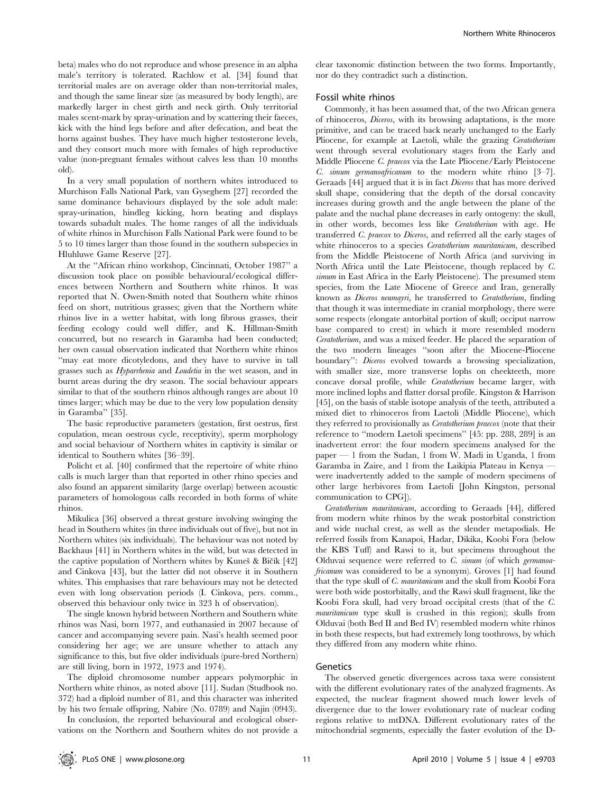beta) males who do not reproduce and whose presence in an alpha male's territory is tolerated. Rachlow et al. [34] found that territorial males are on average older than non-territorial males, and though the same linear size (as measured by body length), are markedly larger in chest girth and neck girth. Only territorial males scent-mark by spray-urination and by scattering their faeces, kick with the hind legs before and after defecation, and beat the horns against bushes. They have much higher testosterone levels, and they consort much more with females of high reproductive value (non-pregnant females without calves less than 10 months old).

In a very small population of northern whites introduced to Murchison Falls National Park, van Gyseghem [27] recorded the same dominance behaviours displayed by the sole adult male: spray-urination, hindleg kicking, horn beating and displays towards subadult males. The home ranges of all the individuals of white rhinos in Murchison Falls National Park were found to be 5 to 10 times larger than those found in the southern subspecies in Hluhluwe Game Reserve [27].

At the ''African rhino workshop, Cincinnati, October 1987'' a discussion took place on possible behavioural/ecological differences between Northern and Southern white rhinos. It was reported that N. Owen-Smith noted that Southern white rhinos feed on short, nutritious grasses; given that the Northern white rhinos live in a wetter habitat, with long fibrous grasses, their feeding ecology could well differ, and K. Hillman-Smith concurred, but no research in Garamba had been conducted; her own casual observation indicated that Northern white rhinos "may eat more dicotyledons, and they have to survive in tall grasses such as Hyparrhenia and Loudetia in the wet season, and in burnt areas during the dry season. The social behaviour appears similar to that of the southern rhinos although ranges are about 10 times larger; which may be due to the very low population density in Garamba'' [35].

The basic reproductive parameters (gestation, first oestrus, first copulation, mean oestrous cycle, receptivity), sperm morphology and social behaviour of Northern whites in captivity is similar or identical to Southern whites [36–39].

Policht et al. [40] confirmed that the repertoire of white rhino calls is much larger than that reported in other rhino species and also found an apparent similarity (large overlap) between acoustic parameters of homologous calls recorded in both forms of white rhinos.

Mikulica [36] observed a threat gesture involving swinging the head in Southern whites (in three individuals out of five), but not in Northern whites (six individuals). The behaviour was not noted by Backhaus [41] in Northern whites in the wild, but was detected in the captive population of Northern whites by Kuneš  $&$  Bičík [42] and Cinkova [43], but the latter did not observe it in Southern whites. This emphasises that rare behaviours may not be detected even with long observation periods (I. Cinkova, pers. comm., observed this behaviour only twice in 323 h of observation).

The single known hybrid between Northern and Southern white rhinos was Nasi, born 1977, and euthanasied in 2007 because of cancer and accompanying severe pain. Nasi's health seemed poor considering her age; we are unsure whether to attach any significance to this, but five older individuals (pure-bred Northern) are still living, born in 1972, 1973 and 1974).

The diploid chromosome number appears polymorphic in Northern white rhinos, as noted above [11]. Sudan (Studbook no. 372) had a diploid number of 81, and this character was inherited by his two female offspring, Nabire (No. 0789) and Najin (0943).

In conclusion, the reported behavioural and ecological observations on the Northern and Southern whites do not provide a clear taxonomic distinction between the two forms. Importantly, nor do they contradict such a distinction.

#### Fossil white rhinos

Commonly, it has been assumed that, of the two African genera of rhinoceros, Diceros, with its browsing adaptations, is the more primitive, and can be traced back nearly unchanged to the Early Pliocene, for example at Laetoli, while the grazing Ceratotherium went through several evolutionary stages from the Early and Middle Pliocene C. praecox via the Late Pliocene/Early Pleistocene C. simum germanoafricanum to the modern white rhino [3–7]. Geraads [44] argued that it is in fact Diceros that has more derived skull shape, considering that the depth of the dorsal concavity increases during growth and the angle between the plane of the palate and the nuchal plane decreases in early ontogeny: the skull, in other words, becomes less like Ceratotherium with age. He transferred C. praecox to Diceros, and referred all the early stages of white rhinoceros to a species *Ceratotherium mauritanicum*, described from the Middle Pleistocene of North Africa (and surviving in North Africa until the Late Pleistocene, though replaced by C. simum in East Africa in the Early Pleistocene). The presumed stem species, from the Late Miocene of Greece and Iran, generally known as Diceros neumayri, he transferred to Ceratotherium, finding that though it was intermediate in cranial morphology, there were some respects (elongate antorbital portion of skull; occiput narrow base compared to crest) in which it more resembled modern Ceratotherium, and was a mixed feeder. He placed the separation of the two modern lineages ''soon after the Miocene-Pliocene boundary'': Diceros evolved towards a browsing specialization, with smaller size, more transverse lophs on cheekteeth, more concave dorsal profile, while Ceratotherium became larger, with more inclined lophs and flatter dorsal profile. Kingston & Harrison [45], on the basis of stable isotope analysis of the teeth, attributed a mixed diet to rhinoceros from Laetoli (Middle Pliocene), which they referred to provisionally as Ceratotherium praecox (note that their reference to ''modern Laetoli specimens'' [45: pp. 288, 289] is an inadvertent error: the four modern specimens analysed for the paper — 1 from the Sudan, 1 from W. Madi in Uganda, 1 from Garamba in Zaire, and 1 from the Laikipia Plateau in Kenya were inadvertently added to the sample of modern specimens of other large herbivores from Laetoli [John Kingston, personal communication to CPG]).

Ceratotherium mauritanicum, according to Geraads [44], differed from modern white rhinos by the weak postorbital constriction and wide nuchal crest, as well as the slender metapodials. He referred fossils from Kanapoi, Hadar, Dikika, Koobi Fora (below the KBS Tuff) and Rawi to it, but specimens throughout the Olduvai sequence were referred to C. simum (of which germanoafricanum was considered to be a synonym). Groves [1] had found that the type skull of C. mauritanicum and the skull from Koobi Fora were both wide postorbitally, and the Rawi skull fragment, like the Koobi Fora skull, had very broad occipital crests (that of the C. mauritanicum type skull is crushed in this region); skulls from Olduvai (both Bed II and Bed IV) resembled modern white rhinos in both these respects, but had extremely long toothrows, by which they differed from any modern white rhino.

### Genetics

The observed genetic divergences across taxa were consistent with the different evolutionary rates of the analyzed fragments. As expected, the nuclear fragment showed much lower levels of divergence due to the lower evolutionary rate of nuclear coding regions relative to mtDNA. Different evolutionary rates of the mitochondrial segments, especially the faster evolution of the D-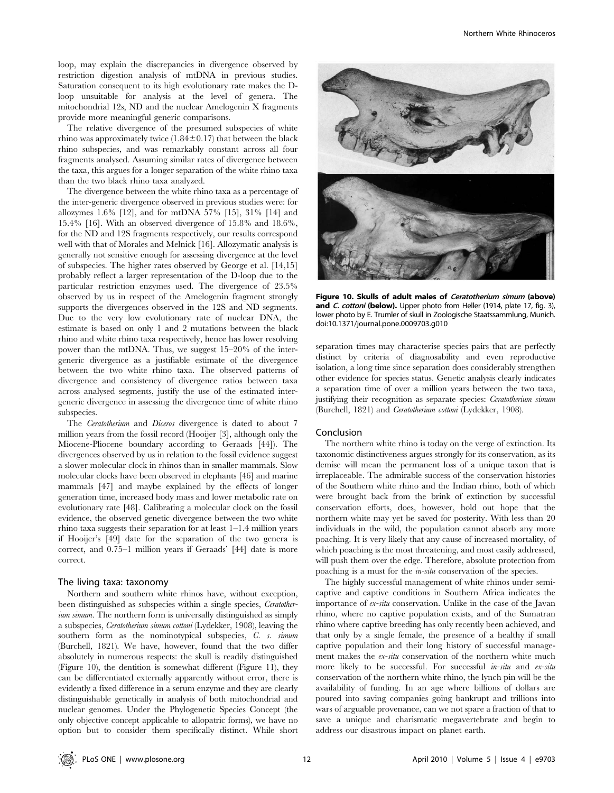loop, may explain the discrepancies in divergence observed by restriction digestion analysis of mtDNA in previous studies. Saturation consequent to its high evolutionary rate makes the Dloop unsuitable for analysis at the level of genera. The mitochondrial 12s, ND and the nuclear Amelogenin X fragments provide more meaningful generic comparisons.

The relative divergence of the presumed subspecies of white rhino was approximately twice  $(1.84\pm0.17)$  that between the black rhino subspecies, and was remarkably constant across all four fragments analysed. Assuming similar rates of divergence between the taxa, this argues for a longer separation of the white rhino taxa than the two black rhino taxa analyzed.

The divergence between the white rhino taxa as a percentage of the inter-generic divergence observed in previous studies were: for allozymes 1.6% [12], and for mtDNA 57% [15], 31% [14] and 15.4% [16]. With an observed divergence of 15.8% and 18.6%, for the ND and 12S fragments respectively, our results correspond well with that of Morales and Melnick [16]. Allozymatic analysis is generally not sensitive enough for assessing divergence at the level of subspecies. The higher rates observed by George et al. [14,15] probably reflect a larger representation of the D-loop due to the particular restriction enzymes used. The divergence of 23.5% observed by us in respect of the Amelogenin fragment strongly supports the divergences observed in the 12S and ND segments. Due to the very low evolutionary rate of nuclear DNA, the estimate is based on only 1 and 2 mutations between the black rhino and white rhino taxa respectively, hence has lower resolving power than the mtDNA. Thus, we suggest 15–20% of the intergeneric divergence as a justifiable estimate of the divergence between the two white rhino taxa. The observed patterns of divergence and consistency of divergence ratios between taxa across analysed segments, justify the use of the estimated intergeneric divergence in assessing the divergence time of white rhino subspecies.

The *Ceratotherium* and *Diceros* divergence is dated to about 7 million years from the fossil record (Hooijer [3], although only the Miocene-Pliocene boundary according to Geraads [44]). The divergences observed by us in relation to the fossil evidence suggest a slower molecular clock in rhinos than in smaller mammals. Slow molecular clocks have been observed in elephants [46] and marine mammals [47] and maybe explained by the effects of longer generation time, increased body mass and lower metabolic rate on evolutionary rate [48]. Calibrating a molecular clock on the fossil evidence, the observed genetic divergence between the two white rhino taxa suggests their separation for at least 1–1.4 million years if Hooijer's [49] date for the separation of the two genera is correct, and 0.75–1 million years if Geraads' [44] date is more correct.

#### The living taxa: taxonomy

Northern and southern white rhinos have, without exception, been distinguished as subspecies within a single species, Ceratotherium simum. The northern form is universally distinguished as simply a subspecies, Ceratotherium simum cottoni (Lydekker, 1908), leaving the southern form as the nominotypical subspecies, C. s. simum (Burchell, 1821). We have, however, found that the two differ absolutely in numerous respects: the skull is readily distinguished (Figure 10), the dentition is somewhat different (Figure 11), they can be differentiated externally apparently without error, there is evidently a fixed difference in a serum enzyme and they are clearly distinguishable genetically in analysis of both mitochondrial and nuclear genomes. Under the Phylogenetic Species Concept (the only objective concept applicable to allopatric forms), we have no option but to consider them specifically distinct. While short



Figure 10. Skulls of adult males of Ceratotherium simum (above) and C. cottoni (below). Upper photo from Heller (1914, plate 17, fig. 3), lower photo by E. Trumler of skull in Zoologische Staatssammlung, Munich. doi:10.1371/journal.pone.0009703.g010

separation times may characterise species pairs that are perfectly distinct by criteria of diagnosability and even reproductive isolation, a long time since separation does considerably strengthen other evidence for species status. Genetic analysis clearly indicates a separation time of over a million years between the two taxa, justifying their recognition as separate species: Ceratotherium simum (Burchell, 1821) and Ceratotherium cottoni (Lydekker, 1908).

#### Conclusion

The northern white rhino is today on the verge of extinction. Its taxonomic distinctiveness argues strongly for its conservation, as its demise will mean the permanent loss of a unique taxon that is irreplaceable. The admirable success of the conservation histories of the Southern white rhino and the Indian rhino, both of which were brought back from the brink of extinction by successful conservation efforts, does, however, hold out hope that the northern white may yet be saved for posterity. With less than 20 individuals in the wild, the population cannot absorb any more poaching. It is very likely that any cause of increased mortality, of which poaching is the most threatening, and most easily addressed, will push them over the edge. Therefore, absolute protection from poaching is a must for the in-situ conservation of the species.

The highly successful management of white rhinos under semicaptive and captive conditions in Southern Africa indicates the importance of ex-situ conservation. Unlike in the case of the Javan rhino, where no captive population exists, and of the Sumatran rhino where captive breeding has only recently been achieved, and that only by a single female, the presence of a healthy if small captive population and their long history of successful management makes the ex-situ conservation of the northern white much more likely to be successful. For successful in-situ and ex-situ conservation of the northern white rhino, the lynch pin will be the availability of funding. In an age where billions of dollars are poured into saving companies going bankrupt and trillions into wars of arguable provenance, can we not spare a fraction of that to save a unique and charismatic megavertebrate and begin to address our disastrous impact on planet earth.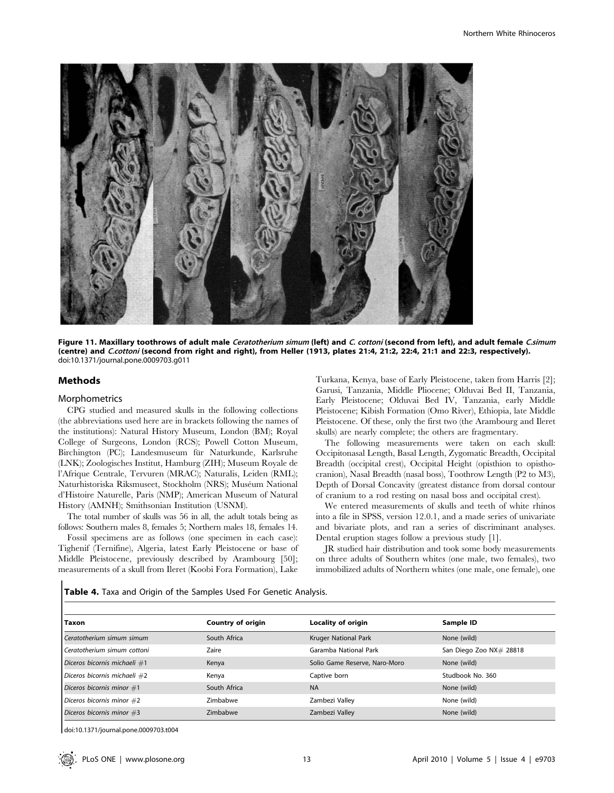

Figure 11. Maxillary toothrows of adult male Ceratotherium simum (left) and C. cottoni (second from left), and adult female C.simum (centre) and C.cottoni (second from right and right), from Heller (1913, plates 21:4, 21:2, 22:4, 21:1 and 22:3, respectively). doi:10.1371/journal.pone.0009703.g011

#### Methods

#### Morphometrics

CPG studied and measured skulls in the following collections (the abbreviations used here are in brackets following the names of the institutions): Natural History Museum, London (BM); Royal College of Surgeons, London (RCS); Powell Cotton Museum, Birchington (PC); Landesmuseum für Naturkunde, Karlsruhe (LNK); Zoologisches Institut, Hamburg (ZIH); Museum Royale de l'Afrique Centrale, Tervuren (MRAC); Naturalis, Leiden (RML); Naturhistoriska Riksmuseet, Stockholm (NRS); Muséum National d'Histoire Naturelle, Paris (NMP); American Museum of Natural History (AMNH); Smithsonian Institution (USNM).

The total number of skulls was 56 in all, the adult totals being as follows: Southern males 8, females 5; Northern males 18, females 14.

Fossil specimens are as follows (one specimen in each case): Tighenif (Ternifine), Algeria, latest Early Pleistocene or base of Middle Pleistocene, previously described by Arambourg [50]; measurements of a skull from Ileret (Koobi Fora Formation), Lake Turkana, Kenya, base of Early Pleistocene, taken from Harris [2]; Garusi, Tanzania, Middle Pliocene; Olduvai Bed II, Tanzania, Early Pleistocene; Olduvai Bed IV, Tanzania, early Middle Pleistocene; Kibish Formation (Omo River), Ethiopia, late Middle Pleistocene. Of these, only the first two (the Arambourg and Ileret skulls) are nearly complete; the others are fragmentary.

The following measurements were taken on each skull: Occipitonasal Length, Basal Length, Zygomatic Breadth, Occipital Breadth (occipital crest), Occipital Height (opisthion to opisthocranion), Nasal Breadth (nasal boss), Toothrow Length (P2 to M3), Depth of Dorsal Concavity (greatest distance from dorsal contour of cranium to a rod resting on nasal boss and occipital crest).

We entered measurements of skulls and teeth of white rhinos into a file in SPSS, version 12.0.1, and a made series of univariate and bivariate plots, and ran a series of discriminant analyses. Dental eruption stages follow a previous study [1].

JR studied hair distribution and took some body measurements on three adults of Southern whites (one male, two females), two immobilized adults of Northern whites (one male, one female), one

|  |  |  |  |  |  |  | Table 4. Taxa and Origin of the Samples Used For Genetic Analysis. |  |  |  |  |  |
|--|--|--|--|--|--|--|--------------------------------------------------------------------|--|--|--|--|--|
|--|--|--|--|--|--|--|--------------------------------------------------------------------|--|--|--|--|--|

| Taxon                          | <b>Country of origin</b> | <b>Locality of origin</b>     | Sample ID               |
|--------------------------------|--------------------------|-------------------------------|-------------------------|
| Ceratotherium simum simum      | South Africa             | Kruger National Park          | None (wild)             |
| Ceratotherium simum cottoni    | Zaire                    | Garamba National Park         | San Diego Zoo NX# 28818 |
| Diceros bicornis michaeli $#1$ | Kenya                    | Solio Game Reserve, Naro-Moro | None (wild)             |
| Diceros bicornis michaeli #2   | Kenya                    | Captive born                  | Studbook No. 360        |
| Diceros bicornis minor #1      | South Africa             | <b>NA</b>                     | None (wild)             |
| Diceros bicornis minor #2      | Zimbabwe                 | Zambezi Valley                | None (wild)             |
| Diceros bicornis minor $#3$    | Zimbabwe                 | Zambezi Valley                | None (wild)             |

doi:10.1371/journal.pone.0009703.t004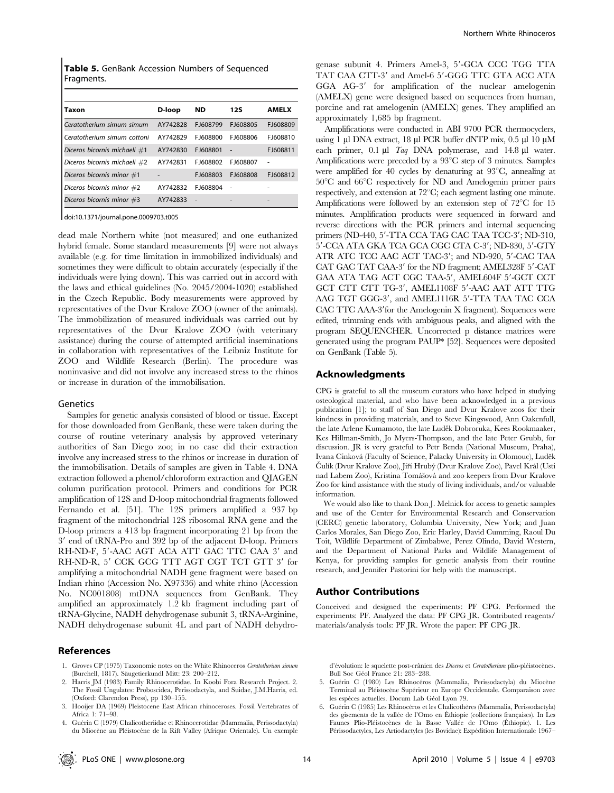Table 5. GenBank Accession Numbers of Sequenced Fragments.

| Taxon                        | D-loop   | <b>ND</b> | <b>12S</b>     | <b>AMELX</b> |
|------------------------------|----------|-----------|----------------|--------------|
| Ceratotherium simum simum    | AY742828 | FJ608799  | FJ608805       | FJ608809     |
| Ceratotherium simum cottoni  | AY742829 | FJ608800  | FJ608806       | FJ608810     |
| Diceros bicornis michaeli #1 | AY742830 | FJ608801  | $\overline{a}$ | FJ608811     |
| Diceros bicornis michaeli #2 | AY742831 | FJ608802  | FJ608807       |              |
| Diceros bicornis minor #1    |          | FJ608803  | FJ608808       | FJ608812     |
| Diceros bicornis minor #2    | AY742832 | FJ608804  |                |              |
| Diceros bicornis minor #3    | AY742833 |           |                | -            |

doi:10.1371/journal.pone.0009703.t005

dead male Northern white (not measured) and one euthanized hybrid female. Some standard measurements [9] were not always available (e.g. for time limitation in immobilized individuals) and sometimes they were difficult to obtain accurately (especially if the individuals were lying down). This was carried out in accord with the laws and ethical guidelines (No. 2045/2004-1020) established in the Czech Republic. Body measurements were approved by representatives of the Dvur Kralove ZOO (owner of the animals). The immobilization of measured individuals was carried out by representatives of the Dvur Kralove ZOO (with veterinary assistance) during the course of attempted artificial inseminations in collaboration with representatives of the Leibniz Institute for ZOO and Wildlife Research (Berlin). The procedure was noninvasive and did not involve any increased stress to the rhinos or increase in duration of the immobilisation.

#### Genetics

Samples for genetic analysis consisted of blood or tissue. Except for those downloaded from GenBank, these were taken during the course of routine veterinary analysis by approved veterinary authorities of San Diego zoo; in no case did their extraction involve any increased stress to the rhinos or increase in duration of the immobilisation. Details of samples are given in Table 4. DNA extraction followed a phenol/chloroform extraction and QIAGEN column purification protocol. Primers and conditions for PCR amplification of 12S and D-loop mitochondrial fragments followed Fernando et al. [51]. The 12S primers amplified a 937 bp fragment of the mitochondrial 12S ribosomal RNA gene and the D-loop primers a 413 bp fragment incorporating 21 bp from the 3' end of tRNA-Pro and 392 bp of the adjacent D-loop. Primers RH-ND-F, 5'-AAC AGT ACA ATT GAC TTC CAA 3' and RH-ND-R, 5' CCK GCG TTT AGT CGT TCT GTT 3' for amplifying a mitochondrial NADH gene fragment were based on Indian rhino (Accession No. X97336) and white rhino (Accession No. NC001808) mtDNA sequences from GenBank. They amplified an approximately 1.2 kb fragment including part of tRNA-Glycine, NADH dehydrogenase subunit 3, tRNA-Arginine, NADH dehydrogenase subunit 4L and part of NADH dehydro-

#### References

- 1. Groves CP (1975) Taxonomic notes on the White Rhinoceros Ceratotherium simum (Burchell, 1817). Säugetierkundl Mitt: 23: 200-212.
- 2. Harris JM (1983) Family Rhinocerotidae. In Koobi Fora Research Project. 2. The Fossil Ungulates: Proboscidea, Perissodactyla, and Suidae, J.M.Harris, ed. (Oxford: Clarendon Press), pp 130–155.
- 3. Hooijer DA (1969) Pleistocene East African rhinoceroses. Fossil Vertebrates of Africa 1: 71–98.
- 4. Guérin C (1979) Chalicotheriidae et Rhinocerotidae (Mammalia, Perissodactyla) du Miocène au Pléistocène de la Rift Valley (Afrique Orientale). Un exemple

genase subunit 4. Primers Amel-3, 5'-GCA CCC TGG TTA TAT CAA CTT-3' and Amel-6 5'-GGG TTC GTA ACC ATA GGA AG-3' for amplification of the nuclear amelogenin (AMELX) gene were designed based on sequences from human, porcine and rat amelogenin (AMELX) genes. They amplified an approximately 1,685 bp fragment.

Amplifications were conducted in ABI 9700 PCR thermocyclers, using 1  $\mu$ l DNA extract, 18  $\mu$ l PCR buffer dNTP mix, 0.5  $\mu$ l 10  $\mu$ M each primer,  $0.1 \mu I$  Taq DNA polymerase, and 14.8  $\mu I$  water. Amplifications were preceded by a  $93^{\circ}$ C step of 3 minutes. Samples were amplified for 40 cycles by denaturing at  $93^{\circ}$ C, annealing at  $50^{\circ}$ C and  $66^{\circ}$ C respectively for ND and Amelogenin primer pairs respectively, and extension at  $72^{\circ}$ C; each segment lasting one minute. Amplifications were followed by an extension step of  $72^{\circ}$ C for 15 minutes. Amplification products were sequenced in forward and reverse directions with the PCR primers and internal sequencing primers (ND-440, 5'-TTA CCA TAG CAC TAA TCC-3'; ND-310, 5'-CCA ATA GKA TCA GCA CGC CTA C-3'; ND-830, 5'-GTY ATR ATC TCC AAC ACT TAC-3'; and ND-920, 5'-CAC TAA CAT GAC TAT CAA-3' for the ND fragment; AMEL328F 5'-CAT GAA ATA TAG ACT CGC TAA-5', AMEL604F 5'-GCT CCT GCT CTT CTT TG-3', AMEL1108F 5'-AAC AAT ATT TTG AAG TGT GGG-3', and AMEL1116R 5'-TTA TAA TAC CCA CAC TTC AAA-3'for the Amelogenin X fragment). Sequences were edited, trimming ends with ambiguous peaks, and aligned with the program SEQUENCHER. Uncorrected p distance matrices were generated using the program PAUP\* [52]. Sequences were deposited on GenBank (Table 5).

#### Acknowledgments

CPG is grateful to all the museum curators who have helped in studying osteological material, and who have been acknowledged in a previous publication [1]; to staff of San Diego and Dvur Kralove zoos for their kindness in providing materials, and to Steve Kingswood, Ann Oakenfull, the late Arlene Kumamoto, the late Luděk Dobroruka, Kees Rookmaaker, Kes Hillman-Smith, Jo Myers-Thompson, and the late Peter Grubb, for discussion. JR is very grateful to Petr Benda (National Museum, Praha), Ivana Cinková (Faculty of Science, Palacky University in Olomouc), Luděk Čulík (Dvur Kralove Zoo), Jiří Hrubý (Dvur Kralove Zoo), Pavel Král (Usti nad Labem Zoo), Kristina Tomášová and zoo keepers from Dvur Kralove Zoo for kind assistance with the study of living individuals, and/or valuable information.

We would also like to thank Don J. Melnick for access to genetic samples and use of the Center for Environmental Research and Conservation (CERC) genetic laboratory, Columbia University, New York; and Juan Carlos Morales, San Diego Zoo, Eric Harley, David Cumming, Raoul Du Toit, Wildlife Department of Zimbabwe, Perez Olindo, David Western, and the Department of National Parks and Wildlife Management of Kenya, for providing samples for genetic analysis from their routine research, and Jennifer Pastorini for help with the manuscript.

#### Author Contributions

Conceived and designed the experiments: PF CPG. Performed the experiments: PF. Analyzed the data: PF CPG JR. Contributed reagents/ materials/analysis tools: PF JR. Wrote the paper: PF CPG JR.

d'évolution: le squelette post-crânien des Diceros et Ceratotherium plio-pléistocènes. Bull Soc Géol France 21: 283-288.

- 5. Guérin C (1980) Les Rhinocéros (Mammalia, Perissodactyla) du Miocène Terminal au Pléistocène Supérieur en Europe Occidentale. Comparaison avec les espèces actuelles. Docum Lab Géol Lyon 79.
- 6. Gue´rin C (1985) Les Rhinoce´ros et les Chalicothe`res (Mammalia, Perissodactyla) des gisements de la vallée de l'Omo en Éthiopie (collections françaises). In Les Faunes Plio-Pléistocènes de la Basse Vallée de l'Omo (Éthiopie). 1. Les Périssodactyles, Les Artiodactyles (les Bovidae): Expédition Internationale 1967-